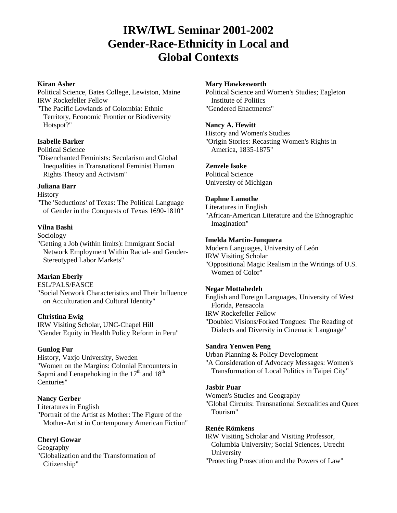# **IRW/IWL Seminar 2001-2002 Gender-Race-Ethnicity in Local and Global Contexts**

#### **Kiran Asher**

# Political Science, Bates College, Lewiston, Maine IRW Rockefeller Fellow

"The Pacific Lowlands of Colombia: Ethnic Territory, Economic Frontier or Biodiversity Hotspot?"

# **Isabelle Barker**

#### Political Science

"Disenchanted Feminists: Secularism and Global Inequalities in Transnational Feminist Human Rights Theory and Activism"

# **Juliana Barr**

#### **History**

"The 'Seductions' of Texas: The Political Language of Gender in the Conquests of Texas 1690-1810"

# **Vilna Bashi**

Sociology

"Getting a Job (within limits): Immigrant Social Network Employment Within Racial- and Gender-Stereotyped Labor Markets"

# **Marian Eberly**

ESL/PALS/FASCE

"Social Network Characteristics and Their Influence on Acculturation and Cultural Identity"

# **Christina Ewig**

IRW Visiting Scholar, UNC-Chapel Hill "Gender Equity in Health Policy Reform in Peru"

#### **Gunlog Fur**

History, Vaxjo University, Sweden "Women on the Margins: Colonial Encounters in Sapmi and Lenapehoking in the  $17<sup>th</sup>$  and  $18<sup>th</sup>$ Centuries"

# **Nancy Gerber**

Literatures in English "Portrait of the Artist as Mother: The Figure of the Mother-Artist in Contemporary American Fiction"

# **Cheryl Gowar**

Geography "Globalization and the Transformation of Citizenship"

#### **Mary Hawkesworth**

Political Science and Women's Studies; Eagleton Institute of Politics "Gendered Enactments"

#### **Nancy A. Hewitt**

History and Women's Studies "Origin Stories: Recasting Women's Rights in America, 1835-1875"

#### **Zenzele Isoke**

Political Science University of Michigan

#### **Daphne Lamothe**

Literatures in English

"African-American Literature and the Ethnographic Imagination"

#### **Imelda Martín-Junquera**

Modern Languages, University of León IRW Visiting Scholar "Oppositional Magic Realism in the Writings of U.S. Women of Color"

#### **Negar Mottahedeh**

English and Foreign Languages, University of West Florida, Pensacola

IRW Rockefeller Fellow

"Doubled Visions/Forked Tongues: The Reading of Dialects and Diversity in Cinematic Language"

# **Sandra Yenwen Peng**

Urban Planning & Policy Development "A Consideration of Advocacy Messages: Women's Transformation of Local Politics in Taipei City"

#### **Jasbir Puar**

Women's Studies and Geography

"Global Circuits: Transnational Sexualities and Queer Tourism"

# **Renée Römkens**

IRW Visiting Scholar and Visiting Professor, Columbia University; Social Sciences, Utrecht University

"Protecting Prosecution and the Powers of Law"